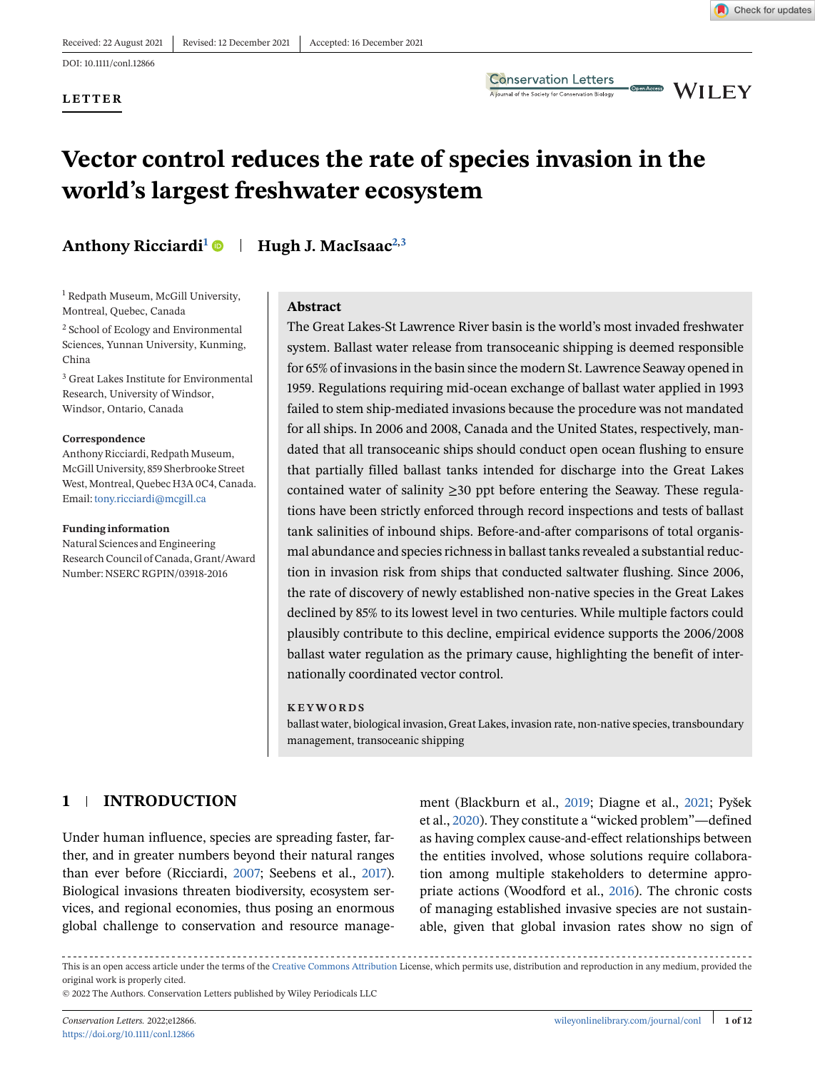**LETTER**

**Conservation Letters** A journal of the Society for Conservation Biology

**CDERACCES** WILEY

# **Vector control reduces the rate of species invasion in the world's largest freshwater ecosystem**

### **Anthony Ricciardi<sup>1</sup> Hugh J. MacIsaac2,3**

<sup>1</sup> Redpath Museum, McGill University, Montreal, Quebec, Canada

<sup>2</sup> School of Ecology and Environmental Sciences, Yunnan University, Kunming, China

<sup>3</sup> Great Lakes Institute for Environmental Research, University of Windsor, Windsor, Ontario, Canada

#### **Correspondence**

Anthony Ricciardi, Redpath Museum, McGill University, 859 Sherbrooke Street West, Montreal, Quebec H3A 0C4, Canada. Email: [tony.ricciardi@mcgill.ca](mailto:tony.ricciardi@mcgill.ca)

#### **Funding information**

Natural Sciences and Engineering Research Council of Canada, Grant/Award Number: NSERC RGPIN/03918-2016

#### **Abstract**

The Great Lakes-St Lawrence River basin is the world's most invaded freshwater system. Ballast water release from transoceanic shipping is deemed responsible for 65% of invasions in the basin since the modern St. Lawrence Seaway opened in 1959. Regulations requiring mid-ocean exchange of ballast water applied in 1993 failed to stem ship-mediated invasions because the procedure was not mandated for all ships. In 2006 and 2008, Canada and the United States, respectively, mandated that all transoceanic ships should conduct open ocean flushing to ensure that partially filled ballast tanks intended for discharge into the Great Lakes contained water of salinity ≥30 ppt before entering the Seaway. These regulations have been strictly enforced through record inspections and tests of ballast tank salinities of inbound ships. Before-and-after comparisons of total organismal abundance and species richness in ballast tanks revealed a substantial reduction in invasion risk from ships that conducted saltwater flushing. Since 2006, the rate of discovery of newly established non-native species in the Great Lakes declined by 85% to its lowest level in two centuries. While multiple factors could plausibly contribute to this decline, empirical evidence supports the 2006/2008 ballast water regulation as the primary cause, highlighting the benefit of internationally coordinated vector control.

#### **KEYWORDS**

ballast water, biological invasion, Great Lakes, invasion rate, non-native species, transboundary management, transoceanic shipping

### **1 INTRODUCTION**

Under human influence, species are spreading faster, farther, and in greater numbers beyond their natural ranges than ever before (Ricciardi, [2007;](#page-10-0) Seebens et al., [2017\)](#page-10-0). Biological invasions threaten biodiversity, ecosystem services, and regional economies, thus posing an enormous global challenge to conservation and resource management (Blackburn et al., [2019;](#page-8-0) Diagne et al., [2021;](#page-9-0) Pyšek et al., [2020\)](#page-10-0). They constitute a "wicked problem"—defined as having complex cause-and-effect relationships between the entities involved, whose solutions require collaboration among multiple stakeholders to determine appropriate actions (Woodford et al., [2016\)](#page-11-0). The chronic costs of managing established invasive species are not sustainable, given that global invasion rates show no sign of

This is an open access article under the terms of the [Creative Commons Attribution](http://creativecommons.org/licenses/by/4.0/) License, which permits use, distribution and reproduction in any medium, provided the original work is properly cited.

© 2022 The Authors. Conservation Letters published by Wiley Periodicals LLC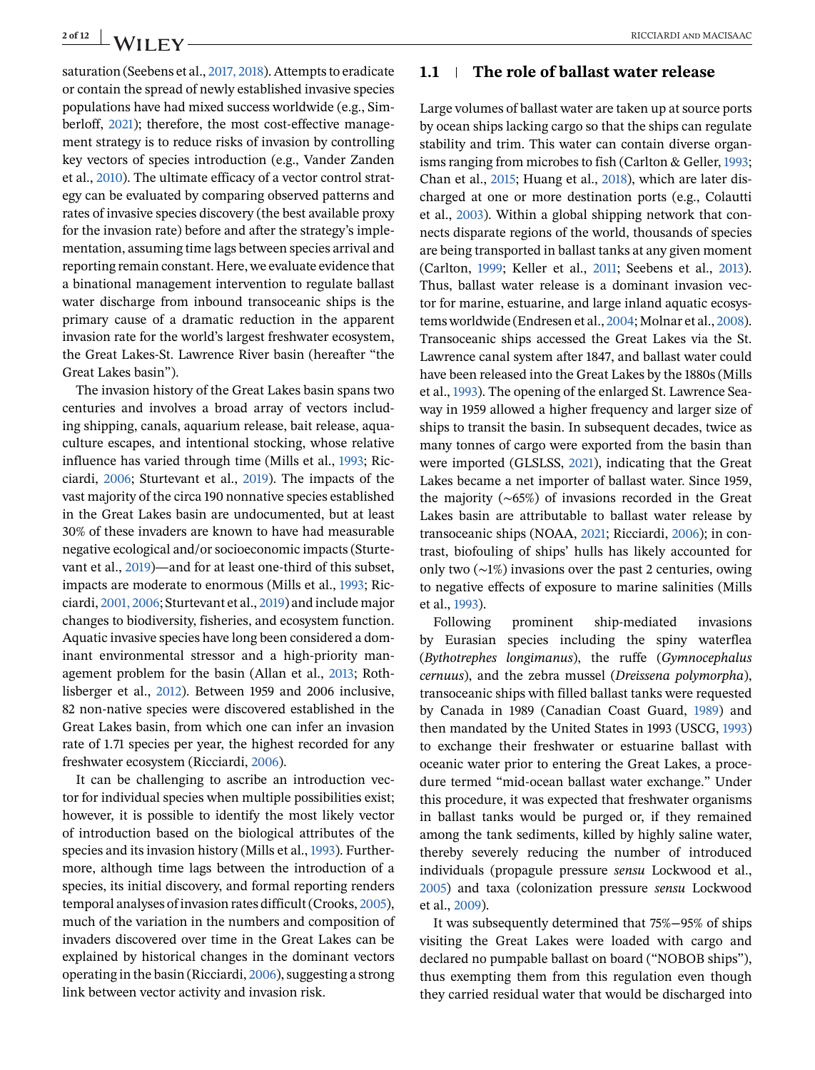Great Lakes basin").

saturation (Seebens et al., [2017, 2018\)](#page-10-0). Attempts to eradicate or contain the spread of newly established invasive species populations have had mixed success worldwide (e.g., Simberloff, [2021\)](#page-11-0); therefore, the most cost-effective management strategy is to reduce risks of invasion by controlling key vectors of species introduction (e.g., Vander Zanden et al., [2010\)](#page-11-0). The ultimate efficacy of a vector control strategy can be evaluated by comparing observed patterns and rates of invasive species discovery (the best available proxy for the invasion rate) before and after the strategy's implementation, assuming time lags between species arrival and reporting remain constant. Here, we evaluate evidence that a binational management intervention to regulate ballast water discharge from inbound transoceanic ships is the primary cause of a dramatic reduction in the apparent invasion rate for the world's largest freshwater ecosystem, the Great Lakes-St. Lawrence River basin (hereafter "the

The invasion history of the Great Lakes basin spans two centuries and involves a broad array of vectors including shipping, canals, aquarium release, bait release, aquaculture escapes, and intentional stocking, whose relative influence has varied through time (Mills et al., [1993;](#page-10-0) Ricciardi, [2006;](#page-10-0) Sturtevant et al., [2019\)](#page-11-0). The impacts of the vast majority of the circa 190 nonnative species established in the Great Lakes basin are undocumented, but at least 30% of these invaders are known to have had measurable negative ecological and/or socioeconomic impacts (Sturtevant et al., [2019\)](#page-11-0)—and for at least one-third of this subset, impacts are moderate to enormous (Mills et al., [1993;](#page-10-0) Ricciardi, [2001, 2006;](#page-10-0) Sturtevant et al., [2019\)](#page-11-0) and include major changes to biodiversity, fisheries, and ecosystem function. Aquatic invasive species have long been considered a dominant environmental stressor and a high-priority management problem for the basin (Allan et al., [2013;](#page-8-0) Rothlisberger et al., [2012\)](#page-10-0). Between 1959 and 2006 inclusive, 82 non-native species were discovered established in the Great Lakes basin, from which one can infer an invasion rate of 1.71 species per year, the highest recorded for any freshwater ecosystem (Ricciardi, [2006\)](#page-10-0).

It can be challenging to ascribe an introduction vector for individual species when multiple possibilities exist; however, it is possible to identify the most likely vector of introduction based on the biological attributes of the species and its invasion history (Mills et al., [1993\)](#page-10-0). Furthermore, although time lags between the introduction of a species, its initial discovery, and formal reporting renders temporal analyses of invasion rates difficult (Crooks, [2005\)](#page-9-0), much of the variation in the numbers and composition of invaders discovered over time in the Great Lakes can be explained by historical changes in the dominant vectors operating in the basin (Ricciardi, [2006\)](#page-10-0), suggesting a strong link between vector activity and invasion risk.

## **2 of 12** RICCIARDI and MACISAAC

#### **1.1 The role of ballast water release**

Large volumes of ballast water are taken up at source ports by ocean ships lacking cargo so that the ships can regulate stability and trim. This water can contain diverse organisms ranging from microbes to fish (Carlton & Geller, [1993;](#page-8-0) Chan et al., [2015;](#page-8-0) Huang et al., [2018\)](#page-9-0), which are later discharged at one or more destination ports (e.g., Colautti et al., [2003\)](#page-9-0). Within a global shipping network that connects disparate regions of the world, thousands of species are being transported in ballast tanks at any given moment (Carlton, [1999;](#page-8-0) Keller et al., [2011;](#page-9-0) Seebens et al., [2013\)](#page-11-0). Thus, ballast water release is a dominant invasion vector for marine, estuarine, and large inland aquatic ecosystems worldwide (Endresen et al., [2004;](#page-9-0) Molnar et al., [2008\)](#page-10-0). Transoceanic ships accessed the Great Lakes via the St. Lawrence canal system after 1847, and ballast water could have been released into the Great Lakes by the 1880s (Mills et al., [1993\)](#page-10-0). The opening of the enlarged St. Lawrence Seaway in 1959 allowed a higher frequency and larger size of ships to transit the basin. In subsequent decades, twice as many tonnes of cargo were exported from the basin than were imported (GLSLSS, [2021\)](#page-9-0), indicating that the Great Lakes became a net importer of ballast water. Since 1959, the majority (∼65%) of invasions recorded in the Great Lakes basin are attributable to ballast water release by transoceanic ships (NOAA, [2021;](#page-10-0) Ricciardi, [2006\)](#page-10-0); in contrast, biofouling of ships' hulls has likely accounted for only two (∼1%) invasions over the past 2 centuries, owing to negative effects of exposure to marine salinities (Mills et al., [1993\)](#page-10-0).

Following prominent ship-mediated invasions by Eurasian species including the spiny waterflea (*Bythotrephes longimanus*), the ruffe (*Gymnocephalus cernuus*), and the zebra mussel (*Dreissena polymorpha*), transoceanic ships with filled ballast tanks were requested by Canada in 1989 (Canadian Coast Guard, [1989\)](#page-8-0) and then mandated by the United States in 1993 (USCG, [1993\)](#page-11-0) to exchange their freshwater or estuarine ballast with oceanic water prior to entering the Great Lakes, a procedure termed "mid-ocean ballast water exchange." Under this procedure, it was expected that freshwater organisms in ballast tanks would be purged or, if they remained among the tank sediments, killed by highly saline water, thereby severely reducing the number of introduced individuals (propagule pressure *sensu* Lockwood et al., [2005\)](#page-9-0) and taxa (colonization pressure *sensu* Lockwood et al., [2009\)](#page-9-0).

It was subsequently determined that 75%−95% of ships visiting the Great Lakes were loaded with cargo and declared no pumpable ballast on board ("NOBOB ships"), thus exempting them from this regulation even though they carried residual water that would be discharged into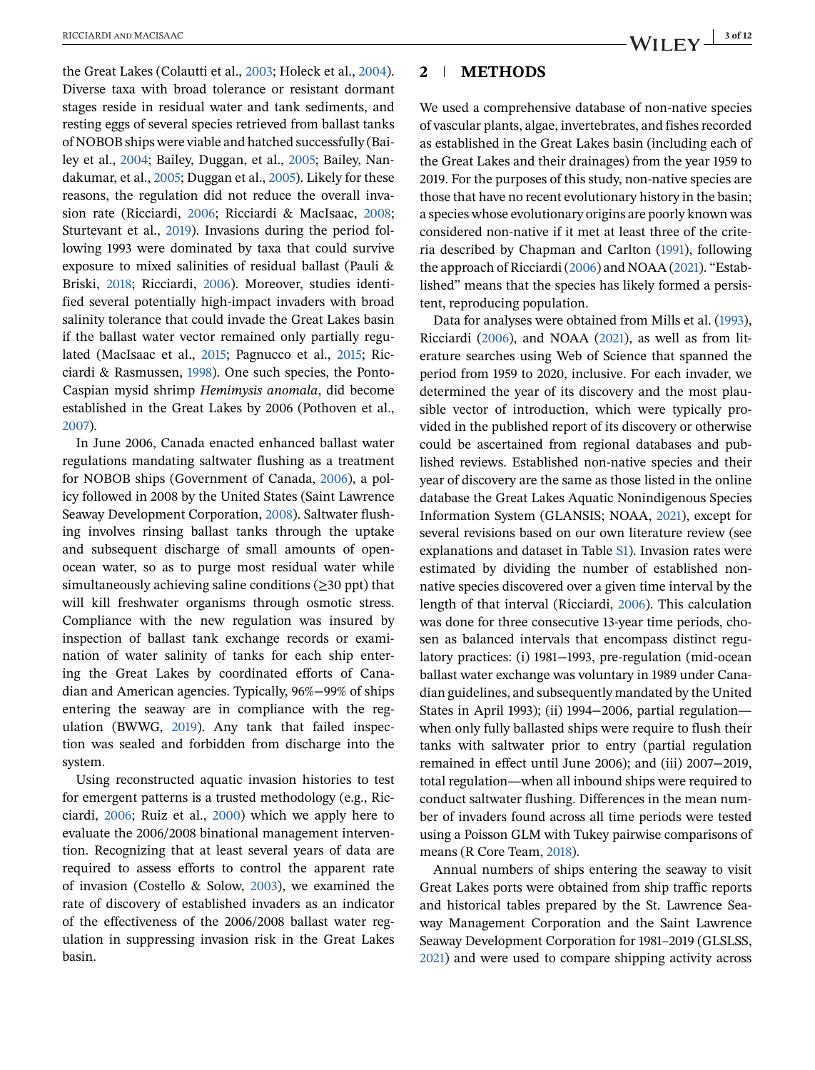the Great Lakes (Colautti et al., [2003;](#page-9-0) Holeck et al., [2004\)](#page-9-0). Diverse taxa with broad tolerance or resistant dormant stages reside in residual water and tank sediments, and resting eggs of several species retrieved from ballast tanks of NOBOB ships were viable and hatched successfully (Bailey et al., [2004;](#page-8-0) Bailey, Duggan, et al., [2005;](#page-8-0) Bailey, Nandakumar, et al., [2005;](#page-8-0) Duggan et al., [2005\)](#page-9-0). Likely for these reasons, the regulation did not reduce the overall invasion rate (Ricciardi, [2006;](#page-10-0) Ricciardi & MacIsaac, [2008;](#page-10-0) Sturtevant et al., [2019\)](#page-11-0). Invasions during the period following 1993 were dominated by taxa that could survive exposure to mixed salinities of residual ballast (Pauli & Briski, [2018;](#page-10-0) Ricciardi, [2006\)](#page-10-0). Moreover, studies identified several potentially high-impact invaders with broad salinity tolerance that could invade the Great Lakes basin if the ballast water vector remained only partially regulated (MacIsaac et al., [2015;](#page-9-0) Pagnucco et al., [2015;](#page-10-0) Ricciardi & Rasmussen, [1998\)](#page-10-0). One such species, the Ponto-Caspian mysid shrimp *Hemimysis anomala*, did become established in the Great Lakes by 2006 (Pothoven et al., [2007\)](#page-10-0).

In June 2006, Canada enacted enhanced ballast water regulations mandating saltwater flushing as a treatment for NOBOB ships (Government of Canada, [2006\)](#page-9-0), a policy followed in 2008 by the United States (Saint Lawrence Seaway Development Corporation, [2008\)](#page-10-0). Saltwater flushing involves rinsing ballast tanks through the uptake and subsequent discharge of small amounts of openocean water, so as to purge most residual water while simultaneously achieving saline conditions ( $\geq$ 30 ppt) that will kill freshwater organisms through osmotic stress. Compliance with the new regulation was insured by inspection of ballast tank exchange records or examination of water salinity of tanks for each ship entering the Great Lakes by coordinated efforts of Canadian and American agencies. Typically, 96%−99% of ships entering the seaway are in compliance with the regulation (BWWG, [2019\)](#page-8-0). Any tank that failed inspection was sealed and forbidden from discharge into the system.

Using reconstructed aquatic invasion histories to test for emergent patterns is a trusted methodology (e.g., Ricciardi, [2006;](#page-10-0) Ruiz et al., [2000\)](#page-10-0) which we apply here to evaluate the 2006/2008 binational management intervention. Recognizing that at least several years of data are required to assess efforts to control the apparent rate of invasion (Costello & Solow, [2003\)](#page-9-0), we examined the rate of discovery of established invaders as an indicator of the effectiveness of the 2006/2008 ballast water regulation in suppressing invasion risk in the Great Lakes basin.

#### **2 METHODS**

We used a comprehensive database of non-native species of vascular plants, algae, invertebrates, and fishes recorded as established in the Great Lakes basin (including each of the Great Lakes and their drainages) from the year 1959 to 2019. For the purposes of this study, non-native species are those that have no recent evolutionary history in the basin; a species whose evolutionary origins are poorly known was considered non-native if it met at least three of the criteria described by Chapman and Carlton [\(1991\)](#page-9-0), following the approach of Ricciardi [\(2006\)](#page-10-0) and NOAA [\(2021\)](#page-10-0). "Established" means that the species has likely formed a persistent, reproducing population.

Data for analyses were obtained from Mills et al. [\(1993\)](#page-10-0), Ricciardi [\(2006\)](#page-10-0), and NOAA [\(2021\)](#page-10-0), as well as from literature searches using Web of Science that spanned the period from 1959 to 2020, inclusive. For each invader, we determined the year of its discovery and the most plausible vector of introduction, which were typically provided in the published report of its discovery or otherwise could be ascertained from regional databases and published reviews. Established non-native species and their year of discovery are the same as those listed in the online database the Great Lakes Aquatic Nonindigenous Species Information System (GLANSIS; NOAA, [2021\)](#page-10-0), except for several revisions based on our own literature review (see explanations and dataset in Table S1). Invasion rates were estimated by dividing the number of established nonnative species discovered over a given time interval by the length of that interval (Ricciardi, [2006\)](#page-10-0). This calculation was done for three consecutive 13-year time periods, chosen as balanced intervals that encompass distinct regulatory practices: (i) 1981−1993, pre-regulation (mid-ocean ballast water exchange was voluntary in 1989 under Canadian guidelines, and subsequently mandated by the United States in April 1993); (ii) 1994−2006, partial regulation when only fully ballasted ships were require to flush their tanks with saltwater prior to entry (partial regulation remained in effect until June 2006); and (iii) 2007−2019, total regulation—when all inbound ships were required to conduct saltwater flushing. Differences in the mean number of invaders found across all time periods were tested using a Poisson GLM with Tukey pairwise comparisons of means (R Core Team, [2018\)](#page-10-0).

Annual numbers of ships entering the seaway to visit Great Lakes ports were obtained from ship traffic reports and historical tables prepared by the St. Lawrence Seaway Management Corporation and the Saint Lawrence Seaway Development Corporation for 1981–2019 (GLSLSS, [2021\)](#page-9-0) and were used to compare shipping activity across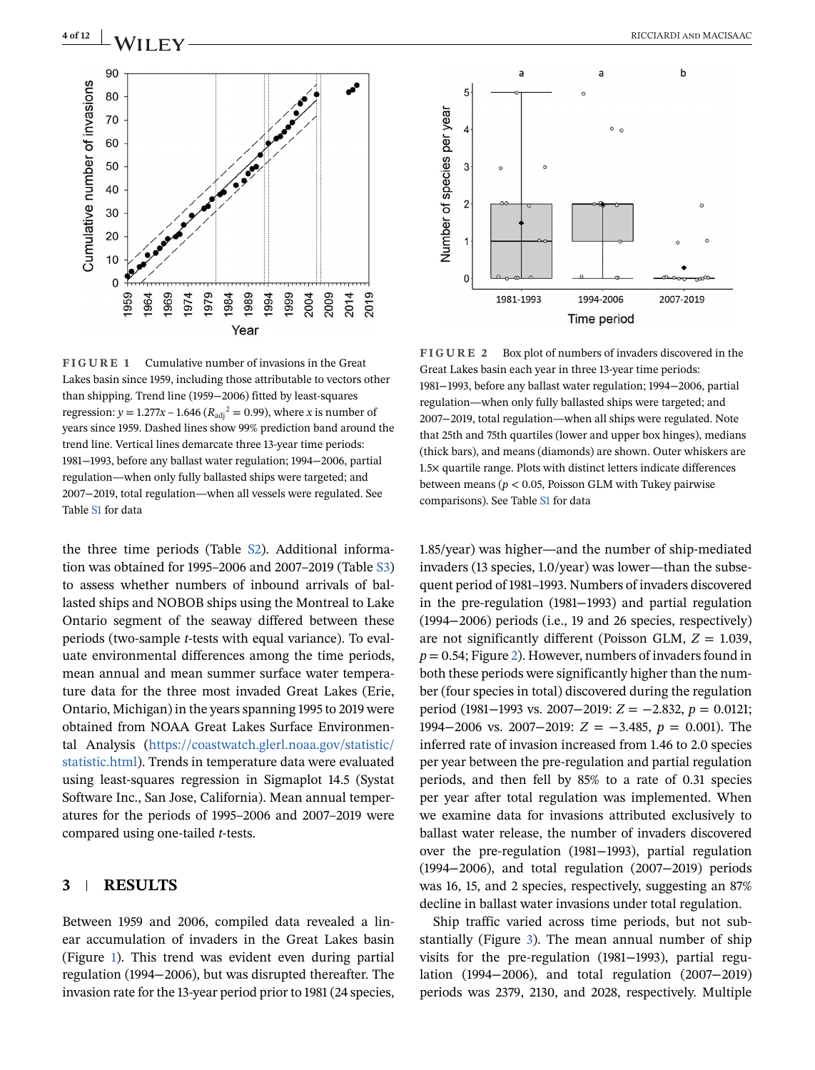

**FIGURE 1** Cumulative number of invasions in the Great Lakes basin since 1959, including those attributable to vectors other than shipping. Trend line (1959−2006) fitted by least-squares regression:  $y = 1.277x - 1.646 (R_{\text{adi}}^2 = 0.99)$ , where *x* is number of years since 1959. Dashed lines show 99% prediction band around the trend line. Vertical lines demarcate three 13-year time periods: 1981−1993, before any ballast water regulation; 1994−2006, partial regulation—when only fully ballasted ships were targeted; and 2007−2019, total regulation—when all vessels were regulated. See Table S1 for data

the three time periods (Table S2). Additional information was obtained for 1995–2006 and 2007–2019 (Table S3) to assess whether numbers of inbound arrivals of ballasted ships and NOBOB ships using the Montreal to Lake Ontario segment of the seaway differed between these periods (two-sample *t*-tests with equal variance). To evaluate environmental differences among the time periods, mean annual and mean summer surface water temperature data for the three most invaded Great Lakes (Erie, Ontario, Michigan) in the years spanning 1995 to 2019 were obtained from NOAA Great Lakes Surface Environmental Analysis [\(https://coastwatch.glerl.noaa.gov/statistic/](https://coastwatch.glerl.noaa.gov/statistic/statistic.html) [statistic.html\)](https://coastwatch.glerl.noaa.gov/statistic/statistic.html). Trends in temperature data were evaluated using least-squares regression in Sigmaplot 14.5 (Systat Software Inc., San Jose, California). Mean annual temperatures for the periods of 1995–2006 and 2007–2019 were compared using one-tailed *t*-tests.

### **3 RESULTS**

Between 1959 and 2006, compiled data revealed a linear accumulation of invaders in the Great Lakes basin (Figure 1). This trend was evident even during partial regulation (1994−2006), but was disrupted thereafter. The invasion rate for the 13-year period prior to 1981 (24 species,

<span id="page-3-0"></span>

**FIGURE 2** Box plot of numbers of invaders discovered in the Great Lakes basin each year in three 13-year time periods: 1981−1993, before any ballast water regulation; 1994−2006, partial regulation—when only fully ballasted ships were targeted; and 2007−2019, total regulation—when all ships were regulated. Note that 25th and 75th quartiles (lower and upper box hinges), medians (thick bars), and means (diamonds) are shown. Outer whiskers are 1.5× quartile range. Plots with distinct letters indicate differences between means (*p* < 0.05, Poisson GLM with Tukey pairwise comparisons). See Table S1 for data

1.85/year) was higher—and the number of ship-mediated invaders (13 species, 1.0/year) was lower—than the subsequent period of 1981–1993. Numbers of invaders discovered in the pre-regulation (1981−1993) and partial regulation (1994−2006) periods (i.e., 19 and 26 species, respectively) are not significantly different (Poisson GLM, *Z* = 1.039, *p* = 0.54; Figure 2). However, numbers of invaders found in both these periods were significantly higher than the number (four species in total) discovered during the regulation period (1981−1993 vs. 2007−2019: *Z* = −2.832, *p* = 0.0121; 1994−2006 vs. 2007−2019: *Z* = −3.485, *p* = 0.001). The inferred rate of invasion increased from 1.46 to 2.0 species per year between the pre-regulation and partial regulation periods, and then fell by 85% to a rate of 0.31 species per year after total regulation was implemented. When we examine data for invasions attributed exclusively to ballast water release, the number of invaders discovered over the pre-regulation (1981−1993), partial regulation (1994−2006), and total regulation (2007−2019) periods was 16, 15, and 2 species, respectively, suggesting an 87% decline in ballast water invasions under total regulation.

Ship traffic varied across time periods, but not substantially (Figure [3\)](#page-4-0). The mean annual number of ship visits for the pre-regulation (1981−1993), partial regulation (1994−2006), and total regulation (2007−2019) periods was 2379, 2130, and 2028, respectively. Multiple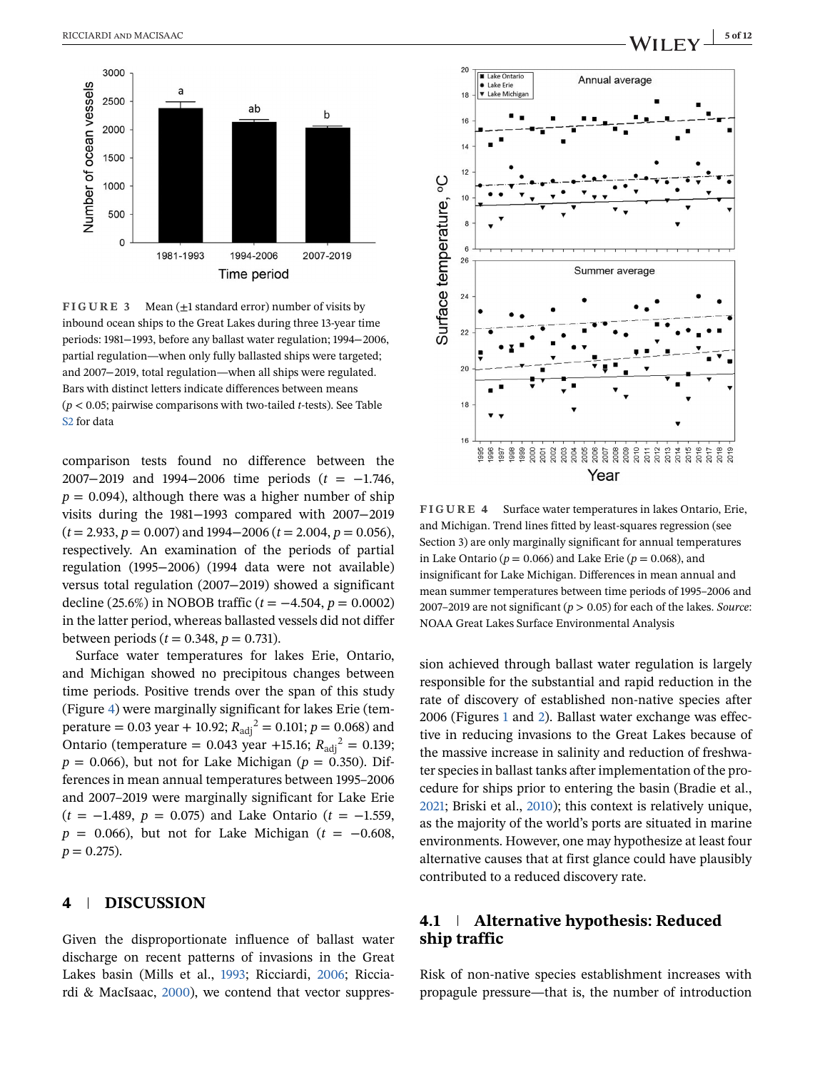<span id="page-4-0"></span>

**FIGURE 3** Mean ( $\pm 1$  standard error) number of visits by inbound ocean ships to the Great Lakes during three 13-year time periods: 1981−1993, before any ballast water regulation; 1994−2006, partial regulation—when only fully ballasted ships were targeted; and 2007−2019, total regulation—when all ships were regulated. Bars with distinct letters indicate differences between means (*p* < 0.05; pairwise comparisons with two-tailed *t*-tests). See Table S2 for data

comparison tests found no difference between the 2007−2019 and 1994−2006 time periods (*t* = −1.746,  $p = 0.094$ ), although there was a higher number of ship visits during the 1981−1993 compared with 2007−2019 (*t* = 2.933, *p* = 0.007) and 1994−2006 (*t* = 2.004, *p* = 0.056), respectively. An examination of the periods of partial regulation (1995−2006) (1994 data were not available) versus total regulation (2007−2019) showed a significant decline (25.6%) in NOBOB traffic (*t* = −4.504, *p* = 0.0002) in the latter period, whereas ballasted vessels did not differ between periods ( $t = 0.348$ ,  $p = 0.731$ ).

Surface water temperatures for lakes Erie, Ontario, and Michigan showed no precipitous changes between time periods. Positive trends over the span of this study (Figure 4) were marginally significant for lakes Erie (temperature = 0.03 year + 10.92;  $R_{\text{adj}}^2 = 0.101$ ;  $p = 0.068$ ) and Ontario (temperature =  $0.043$  year +15.16;  $R_{\text{adj}}^2 = 0.139$ ;  $p = 0.066$ , but not for Lake Michigan ( $p = 0.350$ ). Differences in mean annual temperatures between 1995–2006 and 2007–2019 were marginally significant for Lake Erie (*t* = −1.489, *p* = 0.075) and Lake Ontario (*t* = −1.559, *p* = 0.066), but not for Lake Michigan (*t* = −0.608,  $p = 0.275$ .

#### **4 DISCUSSION**

Given the disproportionate influence of ballast water discharge on recent patterns of invasions in the Great Lakes basin (Mills et al., [1993;](#page-10-0) Ricciardi, [2006;](#page-10-0) Ricciardi & MacIsaac, [2000\)](#page-10-0), we contend that vector suppres-





**FIGURE 4** Surface water temperatures in lakes Ontario, Erie, and Michigan. Trend lines fitted by least-squares regression (see Section 3) are only marginally significant for annual temperatures in Lake Ontario ( $p = 0.066$ ) and Lake Erie ( $p = 0.068$ ), and insignificant for Lake Michigan. Differences in mean annual and mean summer temperatures between time periods of 1995–2006 and 2007–2019 are not significant (*p* > 0.05) for each of the lakes. *Source*: NOAA Great Lakes Surface Environmental Analysis

sion achieved through ballast water regulation is largely responsible for the substantial and rapid reduction in the rate of discovery of established non-native species after 2006 (Figures [1](#page-3-0) and [2\)](#page-3-0). Ballast water exchange was effective in reducing invasions to the Great Lakes because of the massive increase in salinity and reduction of freshwater species in ballast tanks after implementation of the procedure for ships prior to entering the basin (Bradie et al., [2021;](#page-8-0) Briski et al., [2010\)](#page-8-0); this context is relatively unique, as the majority of the world's ports are situated in marine environments. However, one may hypothesize at least four alternative causes that at first glance could have plausibly contributed to a reduced discovery rate.

### **4.1 Alternative hypothesis: Reduced ship traffic**

Risk of non-native species establishment increases with propagule pressure—that is, the number of introduction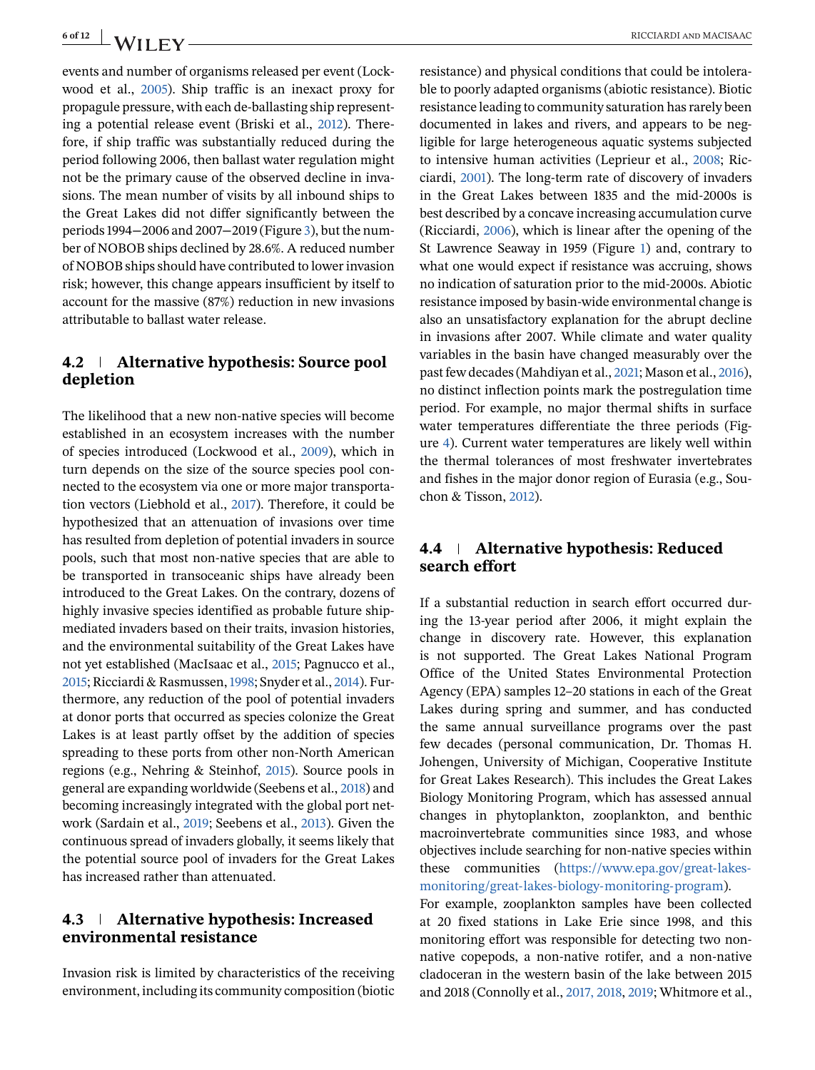events and number of organisms released per event (Lockwood et al., [2005\)](#page-9-0). Ship traffic is an inexact proxy for propagule pressure, with each de-ballasting ship representing a potential release event (Briski et al., [2012\)](#page-8-0). Therefore, if ship traffic was substantially reduced during the period following 2006, then ballast water regulation might not be the primary cause of the observed decline in invasions. The mean number of visits by all inbound ships to the Great Lakes did not differ significantly between the periods 1994−2006 and 2007−2019 (Figure [3\)](#page-4-0), but the number of NOBOB ships declined by 28.6%. A reduced number of NOBOB ships should have contributed to lower invasion risk; however, this change appears insufficient by itself to account for the massive (87%) reduction in new invasions attributable to ballast water release.

### **4.2 Alternative hypothesis: Source pool depletion**

The likelihood that a new non-native species will become established in an ecosystem increases with the number of species introduced (Lockwood et al., [2009\)](#page-9-0), which in turn depends on the size of the source species pool connected to the ecosystem via one or more major transportation vectors (Liebhold et al., [2017\)](#page-9-0). Therefore, it could be hypothesized that an attenuation of invasions over time has resulted from depletion of potential invaders in source pools, such that most non-native species that are able to be transported in transoceanic ships have already been introduced to the Great Lakes. On the contrary, dozens of highly invasive species identified as probable future shipmediated invaders based on their traits, invasion histories, and the environmental suitability of the Great Lakes have not yet established (MacIsaac et al., [2015;](#page-9-0) Pagnucco et al., [2015;](#page-10-0) Ricciardi & Rasmussen,[1998;](#page-10-0) Snyder et al., [2014\)](#page-11-0). Furthermore, any reduction of the pool of potential invaders at donor ports that occurred as species colonize the Great Lakes is at least partly offset by the addition of species spreading to these ports from other non-North American regions (e.g., Nehring & Steinhof, [2015\)](#page-10-0). Source pools in general are expanding worldwide (Seebens et al., [2018\)](#page-10-0) and becoming increasingly integrated with the global port network (Sardain et al., [2019;](#page-10-0) Seebens et al., [2013\)](#page-11-0). Given the continuous spread of invaders globally, it seems likely that the potential source pool of invaders for the Great Lakes has increased rather than attenuated.

### **4.3 Alternative hypothesis: Increased environmental resistance**

Invasion risk is limited by characteristics of the receiving environment, including its community composition (biotic resistance) and physical conditions that could be intolerable to poorly adapted organisms (abiotic resistance). Biotic resistance leading to community saturation has rarely been documented in lakes and rivers, and appears to be negligible for large heterogeneous aquatic systems subjected to intensive human activities (Leprieur et al., [2008;](#page-9-0) Ricciardi, [2001\)](#page-10-0). The long-term rate of discovery of invaders in the Great Lakes between 1835 and the mid-2000s is best described by a concave increasing accumulation curve (Ricciardi, [2006\)](#page-10-0), which is linear after the opening of the St Lawrence Seaway in 1959 (Figure [1\)](#page-3-0) and, contrary to what one would expect if resistance was accruing, shows no indication of saturation prior to the mid-2000s. Abiotic resistance imposed by basin-wide environmental change is also an unsatisfactory explanation for the abrupt decline in invasions after 2007. While climate and water quality variables in the basin have changed measurably over the past few decades (Mahdiyan et al., [2021;](#page-9-0) Mason et al., [2016\)](#page-10-0), no distinct inflection points mark the postregulation time period. For example, no major thermal shifts in surface water temperatures differentiate the three periods (Figure [4\)](#page-4-0). Current water temperatures are likely well within the thermal tolerances of most freshwater invertebrates and fishes in the major donor region of Eurasia (e.g., Souchon & Tisson, [2012\)](#page-11-0).

### **4.4 Alternative hypothesis: Reduced search effort**

If a substantial reduction in search effort occurred during the 13-year period after 2006, it might explain the change in discovery rate. However, this explanation is not supported. The Great Lakes National Program Office of the United States Environmental Protection Agency (EPA) samples 12–20 stations in each of the Great Lakes during spring and summer, and has conducted the same annual surveillance programs over the past few decades (personal communication, Dr. Thomas H. Johengen, University of Michigan, Cooperative Institute for Great Lakes Research). This includes the Great Lakes Biology Monitoring Program, which has assessed annual changes in phytoplankton, zooplankton, and benthic macroinvertebrate communities since 1983, and whose objectives include searching for non-native species within these communities [\(https://www.epa.gov/great-lakes](https://www.epa.gov/great-lakes-monitoring/great-lakes-biology-monitoring-program)[monitoring/great-lakes-biology-monitoring-program\)](https://www.epa.gov/great-lakes-monitoring/great-lakes-biology-monitoring-program).

For example, zooplankton samples have been collected at 20 fixed stations in Lake Erie since 1998, and this monitoring effort was responsible for detecting two nonnative copepods, a non-native rotifer, and a non-native cladoceran in the western basin of the lake between 2015 and 2018 (Connolly et al., [2017, 2018,](#page-9-0) [2019;](#page-9-0) Whitmore et al.,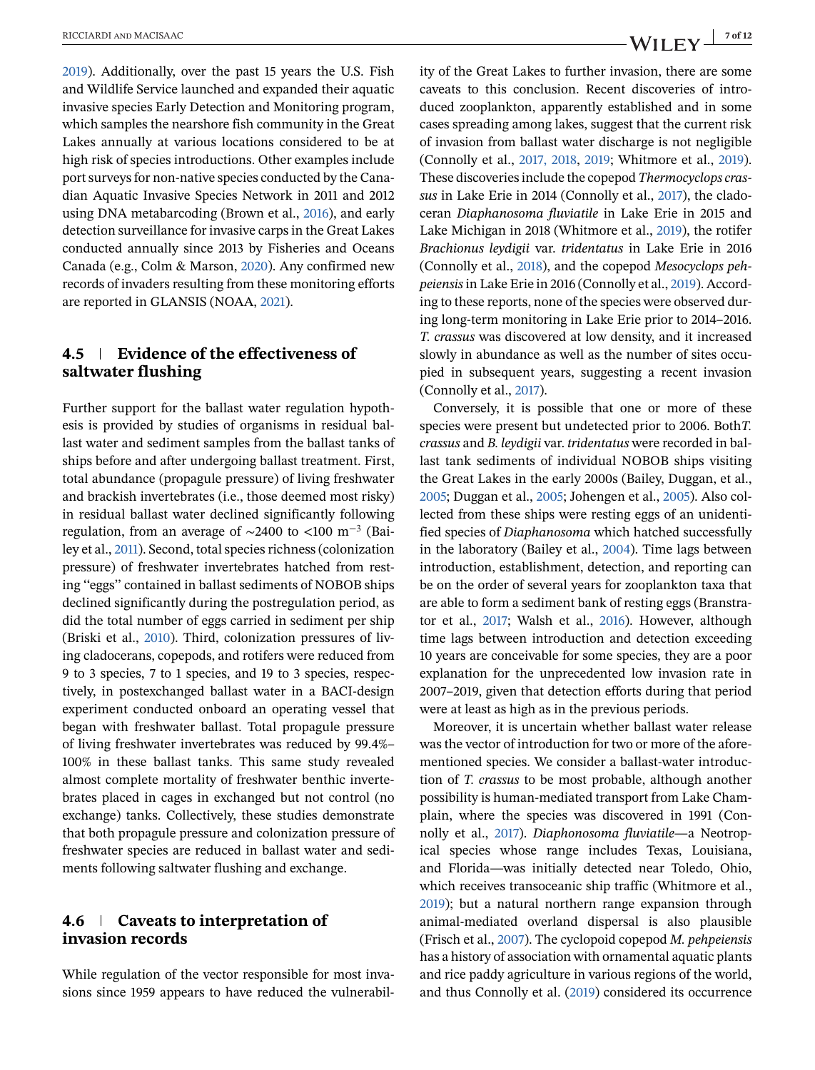[2019\)](#page-11-0). Additionally, over the past 15 years the U.S. Fish and Wildlife Service launched and expanded their aquatic invasive species Early Detection and Monitoring program, which samples the nearshore fish community in the Great Lakes annually at various locations considered to be at high risk of species introductions. Other examples include port surveys for non-native species conducted by the Canadian Aquatic Invasive Species Network in 2011 and 2012 using DNA metabarcoding (Brown et al., [2016\)](#page-8-0), and early detection surveillance for invasive carps in the Great Lakes conducted annually since 2013 by Fisheries and Oceans Canada (e.g., Colm & Marson, [2020\)](#page-9-0). Any confirmed new records of invaders resulting from these monitoring efforts are reported in GLANSIS (NOAA, [2021\)](#page-10-0).

### **4.5 Evidence of the effectiveness of saltwater flushing**

Further support for the ballast water regulation hypothesis is provided by studies of organisms in residual ballast water and sediment samples from the ballast tanks of ships before and after undergoing ballast treatment. First, total abundance (propagule pressure) of living freshwater and brackish invertebrates (i.e., those deemed most risky) in residual ballast water declined significantly following regulation, from an average of ~2400 to <100 m<sup>-3</sup> (Bailey et al., [2011\)](#page-8-0). Second, total species richness (colonization pressure) of freshwater invertebrates hatched from resting ''eggs'' contained in ballast sediments of NOBOB ships declined significantly during the postregulation period, as did the total number of eggs carried in sediment per ship (Briski et al., [2010\)](#page-8-0). Third, colonization pressures of living cladocerans, copepods, and rotifers were reduced from 9 to 3 species, 7 to 1 species, and 19 to 3 species, respectively, in postexchanged ballast water in a BACI-design experiment conducted onboard an operating vessel that began with freshwater ballast. Total propagule pressure of living freshwater invertebrates was reduced by 99.4%– 100% in these ballast tanks. This same study revealed almost complete mortality of freshwater benthic invertebrates placed in cages in exchanged but not control (no exchange) tanks. Collectively, these studies demonstrate that both propagule pressure and colonization pressure of freshwater species are reduced in ballast water and sediments following saltwater flushing and exchange.

#### **4.6 Caveats to interpretation of invasion records**

While regulation of the vector responsible for most invasions since 1959 appears to have reduced the vulnerability of the Great Lakes to further invasion, there are some caveats to this conclusion. Recent discoveries of introduced zooplankton, apparently established and in some cases spreading among lakes, suggest that the current risk of invasion from ballast water discharge is not negligible (Connolly et al., [2017, 2018,](#page-9-0) [2019;](#page-9-0) Whitmore et al., [2019\)](#page-11-0). These discoveries include the copepod *Thermocyclops crassus* in Lake Erie in 2014 (Connolly et al., [2017\)](#page-9-0), the cladoceran *Diaphanosoma fluviatile* in Lake Erie in 2015 and Lake Michigan in 2018 (Whitmore et al., [2019\)](#page-11-0), the rotifer *Brachionus leydigii* var. *tridentatus* in Lake Erie in 2016 (Connolly et al., [2018\)](#page-9-0), and the copepod *Mesocyclops pehpeiensis*in Lake Erie in 2016 (Connolly et al., [2019\)](#page-9-0). According to these reports, none of the species were observed during long-term monitoring in Lake Erie prior to 2014–2016. *T. crassus* was discovered at low density, and it increased slowly in abundance as well as the number of sites occupied in subsequent years, suggesting a recent invasion (Connolly et al., [2017\)](#page-9-0).

Conversely, it is possible that one or more of these species were present but undetected prior to 2006. Both*T. crassus* and *B. leydigii* var. *tridentatus* were recorded in ballast tank sediments of individual NOBOB ships visiting the Great Lakes in the early 2000s (Bailey, Duggan, et al., [2005;](#page-8-0) Duggan et al., [2005;](#page-9-0) Johengen et al., [2005\)](#page-9-0). Also collected from these ships were resting eggs of an unidentified species of *Diaphanosoma* which hatched successfully in the laboratory (Bailey et al., [2004\)](#page-8-0). Time lags between introduction, establishment, detection, and reporting can be on the order of several years for zooplankton taxa that are able to form a sediment bank of resting eggs (Branstrator et al., [2017;](#page-8-0) Walsh et al., [2016\)](#page-11-0). However, although time lags between introduction and detection exceeding 10 years are conceivable for some species, they are a poor explanation for the unprecedented low invasion rate in 2007–2019, given that detection efforts during that period were at least as high as in the previous periods.

Moreover, it is uncertain whether ballast water release was the vector of introduction for two or more of the aforementioned species. We consider a ballast-water introduction of *T. crassus* to be most probable, although another possibility is human-mediated transport from Lake Champlain, where the species was discovered in 1991 (Connolly et al., [2017\)](#page-9-0). *Diaphonosoma fluviatile*—a Neotropical species whose range includes Texas, Louisiana, and Florida—was initially detected near Toledo, Ohio, which receives transoceanic ship traffic (Whitmore et al., [2019\)](#page-11-0); but a natural northern range expansion through animal-mediated overland dispersal is also plausible (Frisch et al., [2007\)](#page-9-0). The cyclopoid copepod *M. pehpeiensis* has a history of association with ornamental aquatic plants and rice paddy agriculture in various regions of the world, and thus Connolly et al. [\(2019\)](#page-9-0) considered its occurrence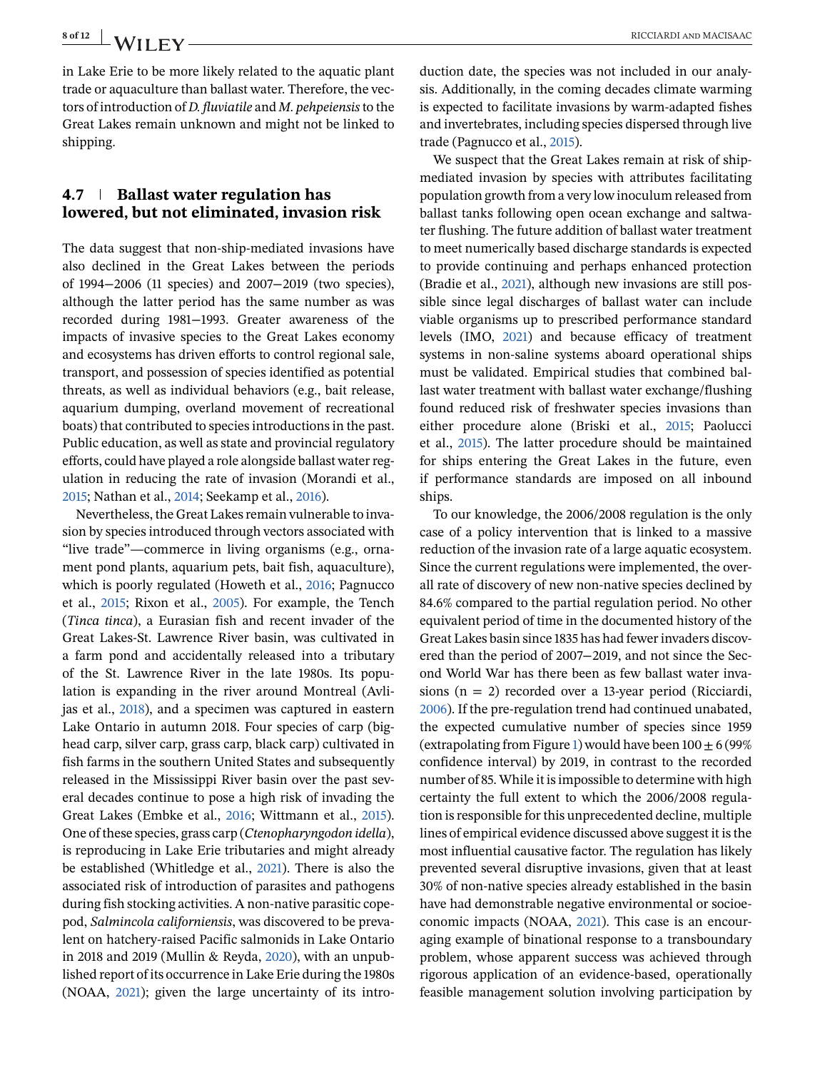in Lake Erie to be more likely related to the aquatic plant trade or aquaculture than ballast water. Therefore, the vectors of introduction of *D. fluviatile* and *M. pehpeiensis*to the Great Lakes remain unknown and might not be linked to shipping.

### **4.7 Ballast water regulation has lowered, but not eliminated, invasion risk**

The data suggest that non-ship-mediated invasions have also declined in the Great Lakes between the periods of 1994−2006 (11 species) and 2007−2019 (two species), although the latter period has the same number as was recorded during 1981−1993. Greater awareness of the impacts of invasive species to the Great Lakes economy and ecosystems has driven efforts to control regional sale, transport, and possession of species identified as potential threats, as well as individual behaviors (e.g., bait release, aquarium dumping, overland movement of recreational boats) that contributed to species introductions in the past. Public education, as well as state and provincial regulatory efforts, could have played a role alongside ballast water regulation in reducing the rate of invasion (Morandi et al., [2015;](#page-10-0) Nathan et al., [2014;](#page-10-0) Seekamp et al., [2016\)](#page-11-0).

Nevertheless, the Great Lakes remain vulnerable to invasion by species introduced through vectors associated with "live trade"—commerce in living organisms (e.g., ornament pond plants, aquarium pets, bait fish, aquaculture), which is poorly regulated (Howeth et al., [2016;](#page-9-0) Pagnucco et al., [2015;](#page-10-0) Rixon et al., [2005\)](#page-10-0). For example, the Tench (*Tinca tinca*), a Eurasian fish and recent invader of the Great Lakes-St. Lawrence River basin, was cultivated in a farm pond and accidentally released into a tributary of the St. Lawrence River in the late 1980s. Its population is expanding in the river around Montreal (Avlijas et al., [2018\)](#page-8-0), and a specimen was captured in eastern Lake Ontario in autumn 2018. Four species of carp (bighead carp, silver carp, grass carp, black carp) cultivated in fish farms in the southern United States and subsequently released in the Mississippi River basin over the past several decades continue to pose a high risk of invading the Great Lakes (Embke et al., [2016;](#page-9-0) Wittmann et al., [2015\)](#page-11-0). One of these species, grass carp (*Ctenopharyngodon idella*), is reproducing in Lake Erie tributaries and might already be established (Whitledge et al., [2021\)](#page-11-0). There is also the associated risk of introduction of parasites and pathogens during fish stocking activities. A non-native parasitic copepod, *Salmincola californiensis*, was discovered to be prevalent on hatchery-raised Pacific salmonids in Lake Ontario in 2018 and 2019 (Mullin & Reyda, [2020\)](#page-10-0), with an unpublished report of its occurrence in Lake Erie during the 1980s (NOAA, [2021\)](#page-10-0); given the large uncertainty of its introduction date, the species was not included in our analysis. Additionally, in the coming decades climate warming is expected to facilitate invasions by warm-adapted fishes and invertebrates, including species dispersed through live trade (Pagnucco et al., [2015\)](#page-10-0).

We suspect that the Great Lakes remain at risk of shipmediated invasion by species with attributes facilitating population growth from a very low inoculum released from ballast tanks following open ocean exchange and saltwater flushing. The future addition of ballast water treatment to meet numerically based discharge standards is expected to provide continuing and perhaps enhanced protection (Bradie et al., [2021\)](#page-8-0), although new invasions are still possible since legal discharges of ballast water can include viable organisms up to prescribed performance standard levels (IMO, [2021\)](#page-9-0) and because efficacy of treatment systems in non-saline systems aboard operational ships must be validated. Empirical studies that combined ballast water treatment with ballast water exchange/flushing found reduced risk of freshwater species invasions than either procedure alone (Briski et al., [2015;](#page-8-0) Paolucci et al., [2015\)](#page-10-0). The latter procedure should be maintained for ships entering the Great Lakes in the future, even if performance standards are imposed on all inbound ships.

To our knowledge, the 2006/2008 regulation is the only case of a policy intervention that is linked to a massive reduction of the invasion rate of a large aquatic ecosystem. Since the current regulations were implemented, the overall rate of discovery of new non-native species declined by 84.6% compared to the partial regulation period. No other equivalent period of time in the documented history of the Great Lakes basin since 1835 has had fewer invaders discovered than the period of 2007−2019, and not since the Second World War has there been as few ballast water invasions (n = 2) recorded over a 13-year period (Ricciardi, [2006\)](#page-10-0). If the pre-regulation trend had continued unabated, the expected cumulative number of species since 1959 (extrapolating from Figure [1\)](#page-3-0) would have been  $100 \pm 6$  (99%) confidence interval) by 2019, in contrast to the recorded number of 85. While it is impossible to determine with high certainty the full extent to which the 2006/2008 regulation is responsible for this unprecedented decline, multiple lines of empirical evidence discussed above suggest it is the most influential causative factor. The regulation has likely prevented several disruptive invasions, given that at least 30% of non-native species already established in the basin have had demonstrable negative environmental or socioeconomic impacts (NOAA, [2021\)](#page-10-0). This case is an encouraging example of binational response to a transboundary problem, whose apparent success was achieved through rigorous application of an evidence-based, operationally feasible management solution involving participation by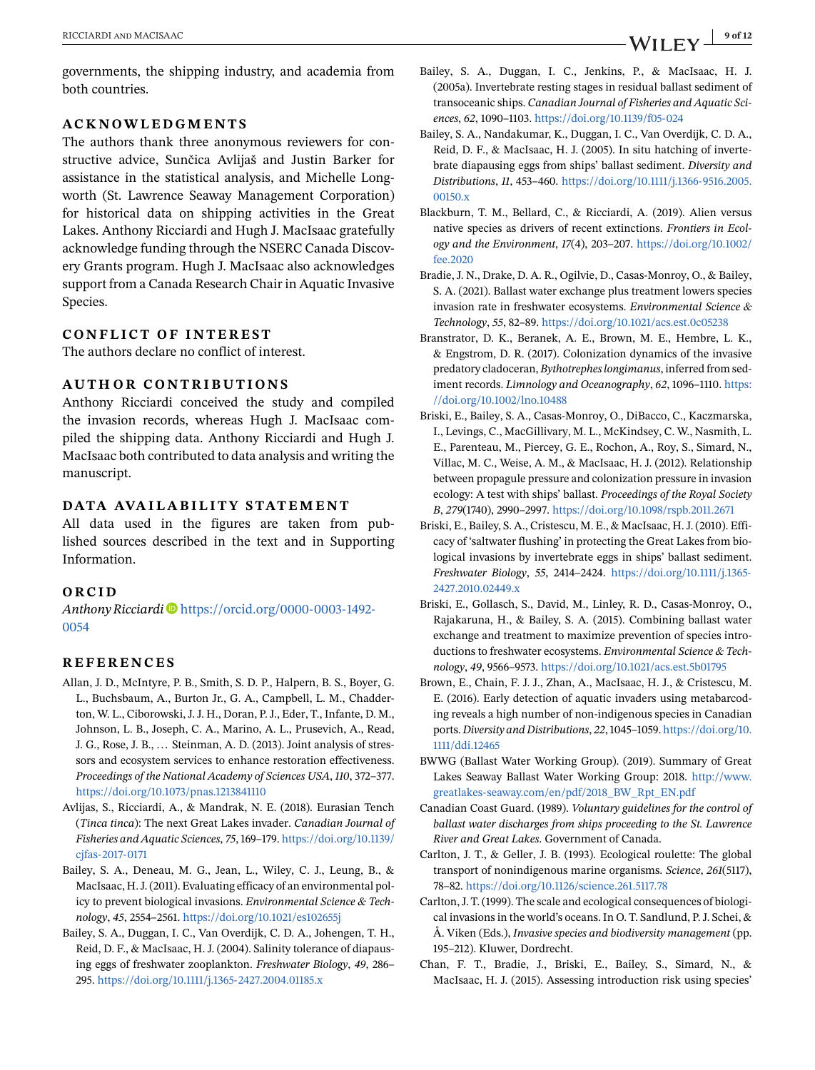<span id="page-8-0"></span>governments, the shipping industry, and academia from both countries.

#### **ACKNOWLEDGMENTS**

The authors thank three anonymous reviewers for constructive advice, Sunčica Avlijaš and Justin Barker for assistance in the statistical analysis, and Michelle Longworth (St. Lawrence Seaway Management Corporation) for historical data on shipping activities in the Great Lakes. Anthony Ricciardi and Hugh J. MacIsaac gratefully acknowledge funding through the NSERC Canada Discovery Grants program. Hugh J. MacIsaac also acknowledges support from a Canada Research Chair in Aquatic Invasive Species.

#### **CONFLICT OF INTEREST**

The authors declare no conflict of interest.

### **AUTHOR CONTRIBUTIONS**

Anthony Ricciardi conceived the study and compiled the invasion records, whereas Hugh J. MacIsaac compiled the shipping data. Anthony Ricciardi and Hugh J. MacIsaac both contributed to data analysis and writing the manuscript.

#### **DATA AVAILABILITY STATEMENT**

All data used in the figures are taken from published sources described in the text and in Supporting Information.

#### **ORCID**

*Anthony Ricciardi* [https://orcid.org/0000-0003-1492-](https://orcid.org/0000-0003-1492-0054) [0054](https://orcid.org/0000-0003-1492-0054)

#### **REFERENCES**

- Allan, J. D., McIntyre, P. B., Smith, S. D. P., Halpern, B. S., Boyer, G. L., Buchsbaum, A., Burton Jr., G. A., Campbell, L. M., Chadderton, W. L., Ciborowski, J. J. H., Doran, P. J., Eder, T., Infante, D. M., Johnson, L. B., Joseph, C. A., Marino, A. L., Prusevich, A., Read, J. G., Rose, J. B., ... Steinman, A. D. (2013). Joint analysis of stressors and ecosystem services to enhance restoration effectiveness. *Proceedings of the National Academy of Sciences USA*, *110*, 372–377. <https://doi.org/10.1073/pnas.1213841110>
- Avlijas, S., Ricciardi, A., & Mandrak, N. E. (2018). Eurasian Tench (*Tinca tinca*): The next Great Lakes invader. *Canadian Journal of Fisheries and Aquatic Sciences*, *75*, 169–179. [https://doi.org/10.1139/](https://doi.org/10.1139/cjfas-2017-0171) [cjfas-2017-0171](https://doi.org/10.1139/cjfas-2017-0171)
- Bailey, S. A., Deneau, M. G., Jean, L., Wiley, C. J., Leung, B., & MacIsaac, H. J. (2011). Evaluating efficacy of an environmental policy to prevent biological invasions. *Environmental Science & Technology*, *45*, 2554–2561. <https://doi.org/10.1021/es102655j>
- Bailey, S. A., Duggan, I. C., Van Overdijk, C. D. A., Johengen, T. H., Reid, D. F., & MacIsaac, H. J. (2004). Salinity tolerance of diapausing eggs of freshwater zooplankton. *Freshwater Biology*, *49*, 286– 295. <https://doi.org/10.1111/j.1365-2427.2004.01185.x>
- Bailey, S. A., Duggan, I. C., Jenkins, P., & MacIsaac, H. J. (2005a). Invertebrate resting stages in residual ballast sediment of transoceanic ships. *Canadian Journal of Fisheries and Aquatic Sciences*, *62*, 1090–1103. <https://doi.org/10.1139/f05-024>
- Bailey, S. A., Nandakumar, K., Duggan, I. C., Van Overdijk, C. D. A., Reid, D. F., & MacIsaac, H. J. (2005). In situ hatching of invertebrate diapausing eggs from ships' ballast sediment. *Diversity and Distributions*, *11*, 453–460. [https://doi.org/10.1111/j.1366-9516.2005.](https://doi.org/10.1111/j.1366-9516.2005.00150.x) [00150.x](https://doi.org/10.1111/j.1366-9516.2005.00150.x)
- Blackburn, T. M., Bellard, C., & Ricciardi, A. (2019). Alien versus native species as drivers of recent extinctions. *Frontiers in Ecology and the Environment*, *17*(4), 203–207. [https://doi.org/10.1002/](https://doi.org/10.1002/fee.2020) [fee.2020](https://doi.org/10.1002/fee.2020)
- Bradie, J. N., Drake, D. A. R., Ogilvie, D., Casas-Monroy, O., & Bailey, S. A. (2021). Ballast water exchange plus treatment lowers species invasion rate in freshwater ecosystems. *Environmental Science & Technology*, *55*, 82–89. <https://doi.org/10.1021/acs.est.0c05238>
- Branstrator, D. K., Beranek, A. E., Brown, M. E., Hembre, L. K., & Engstrom, D. R. (2017). Colonization dynamics of the invasive predatory cladoceran, *Bythotrephes longimanus*, inferred from sediment records. *Limnology and Oceanography*, *62*, 1096–1110. [https:](https://doi.org/10.1002/lno.10488) [//doi.org/10.1002/lno.10488](https://doi.org/10.1002/lno.10488)
- Briski, E., Bailey, S. A., Casas-Monroy, O., DiBacco, C., Kaczmarska, I., Levings, C., MacGillivary, M. L., McKindsey, C. W., Nasmith, L. E., Parenteau, M., Piercey, G. E., Rochon, A., Roy, S., Simard, N., Villac, M. C., Weise, A. M., & MacIsaac, H. J. (2012). Relationship between propagule pressure and colonization pressure in invasion ecology: A test with ships' ballast. *Proceedings of the Royal Society B*, *279*(1740), 2990–2997. <https://doi.org/10.1098/rspb.2011.2671>
- Briski, E., Bailey, S. A., Cristescu, M. E., & MacIsaac, H. J. (2010). Efficacy of 'saltwater flushing' in protecting the Great Lakes from biological invasions by invertebrate eggs in ships' ballast sediment. *Freshwater Biology*, *55*, 2414–2424. [https://doi.org/10.1111/j.1365-](https://doi.org/10.1111/j.1365-2427.2010.02449.x) [2427.2010.02449.x](https://doi.org/10.1111/j.1365-2427.2010.02449.x)
- Briski, E., Gollasch, S., David, M., Linley, R. D., Casas-Monroy, O., Rajakaruna, H., & Bailey, S. A. (2015). Combining ballast water exchange and treatment to maximize prevention of species introductions to freshwater ecosystems. *Environmental Science & Technology*, *49*, 9566–9573. <https://doi.org/10.1021/acs.est.5b01795>
- Brown, E., Chain, F. J. J., Zhan, A., MacIsaac, H. J., & Cristescu, M. E. (2016). Early detection of aquatic invaders using metabarcoding reveals a high number of non-indigenous species in Canadian ports. *Diversity and Distributions*, *22*, 1045–1059. [https://doi.org/10.](https://doi.org/10.1111/ddi.12465) [1111/ddi.12465](https://doi.org/10.1111/ddi.12465)
- BWWG (Ballast Water Working Group). (2019). Summary of Great Lakes Seaway Ballast Water Working Group: 2018. [http://www.](http://www.greatlakes-seaway.com/en/pdf/2018_BW_Rpt_EN.pdf) [greatlakes-seaway.com/en/pdf/2018\\_BW\\_Rpt\\_EN.pdf](http://www.greatlakes-seaway.com/en/pdf/2018_BW_Rpt_EN.pdf)
- Canadian Coast Guard. (1989). *Voluntary guidelines for the control of ballast water discharges from ships proceeding to the St. Lawrence River and Great Lakes*. Government of Canada.
- Carlton, J. T., & Geller, J. B. (1993). Ecological roulette: The global transport of nonindigenous marine organisms. *Science*, *261*(5117), 78–82. <https://doi.org/10.1126/science.261.5117.78>
- Carlton, J. T. (1999). The scale and ecological consequences of biological invasions in the world's oceans. In O. T. Sandlund, P. J. Schei, & Å. Viken (Eds.), *Invasive species and biodiversity management* (pp. 195–212). Kluwer, Dordrecht.
- Chan, F. T., Bradie, J., Briski, E., Bailey, S., Simard, N., & MacIsaac, H. J. (2015). Assessing introduction risk using species'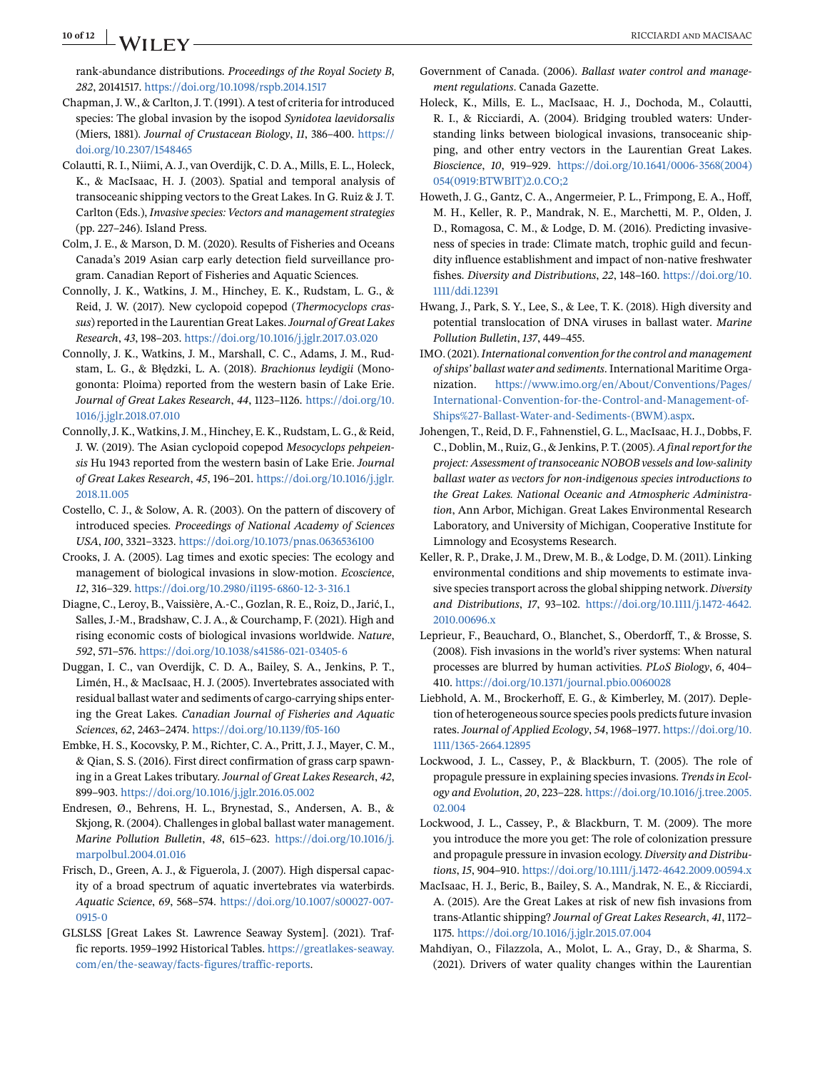# <span id="page-9-0"></span>**10 of 12 WII FY** RICCIARDI AND MACISAAC

rank-abundance distributions. *Proceedings of the Royal Society B*, *282*, 20141517. <https://doi.org/10.1098/rspb.2014.1517>

- Chapman, J. W., & Carlton, J. T. (1991). A test of criteria for introduced species: The global invasion by the isopod *Synidotea laevidorsalis* (Miers, 1881). *Journal of Crustacean Biology*, *11*, 386–400. [https://](https://doi.org/10.2307/1548465) [doi.org/10.2307/1548465](https://doi.org/10.2307/1548465)
- Colautti, R. I., Niimi, A. J., van Overdijk, C. D. A., Mills, E. L., Holeck, K., & MacIsaac, H. J. (2003). Spatial and temporal analysis of transoceanic shipping vectors to the Great Lakes. In G. Ruiz & J. T. Carlton (Eds.), *Invasive species: Vectors and management strategies* (pp. 227–246). Island Press.
- Colm, J. E., & Marson, D. M. (2020). Results of Fisheries and Oceans Canada's 2019 Asian carp early detection field surveillance program. Canadian Report of Fisheries and Aquatic Sciences.
- Connolly, J. K., Watkins, J. M., Hinchey, E. K., Rudstam, L. G., & Reid, J. W. (2017). New cyclopoid copepod (*Thermocyclops crassus*) reported in the Laurentian Great Lakes.*Journal of Great Lakes Research*, *43*, 198–203. <https://doi.org/10.1016/j.jglr.2017.03.020>
- Connolly, J. K., Watkins, J. M., Marshall, C. C., Adams, J. M., Rudstam, L. G., & Błędzki, L. A. (2018). *Brachionus leydigii* (Monogononta: Ploima) reported from the western basin of Lake Erie. *Journal of Great Lakes Research*, *44*, 1123–1126. [https://doi.org/10.](https://doi.org/10.1016/j.jglr.2018.07.010) [1016/j.jglr.2018.07.010](https://doi.org/10.1016/j.jglr.2018.07.010)
- Connolly, J. K., Watkins, J. M., Hinchey, E. K., Rudstam, L. G., & Reid, J. W. (2019). The Asian cyclopoid copepod *Mesocyclops pehpeiensis* Hu 1943 reported from the western basin of Lake Erie. *Journal of Great Lakes Research*, *45*, 196–201. [https://doi.org/10.1016/j.jglr.](https://doi.org/10.1016/j.jglr.2018.11.005) [2018.11.005](https://doi.org/10.1016/j.jglr.2018.11.005)
- Costello, C. J., & Solow, A. R. (2003). On the pattern of discovery of introduced species. *Proceedings of National Academy of Sciences USA*, *100*, 3321–3323. <https://doi.org/10.1073/pnas.0636536100>
- Crooks, J. A. (2005). Lag times and exotic species: The ecology and management of biological invasions in slow-motion. *Ecoscience*, *12*, 316–329. <https://doi.org/10.2980/i1195-6860-12-3-316.1>
- Diagne, C., Leroy, B., Vaissière, A.-C., Gozlan, R. E., Roiz, D., Jarić, I., Salles, J.-M., Bradshaw, C. J. A., & Courchamp, F. (2021). High and rising economic costs of biological invasions worldwide. *Nature*, *592*, 571–576. <https://doi.org/10.1038/s41586-021-03405-6>
- Duggan, I. C., van Overdijk, C. D. A., Bailey, S. A., Jenkins, P. T., Limén, H., & MacIsaac, H. J. (2005). Invertebrates associated with residual ballast water and sediments of cargo-carrying ships entering the Great Lakes. *Canadian Journal of Fisheries and Aquatic Sciences*, *62*, 2463–2474. <https://doi.org/10.1139/f05-160>
- Embke, H. S., Kocovsky, P. M., Richter, C. A., Pritt, J. J., Mayer, C. M., & Qian, S. S. (2016). First direct confirmation of grass carp spawning in a Great Lakes tributary. *Journal of Great Lakes Research*, *42*, 899–903. <https://doi.org/10.1016/j.jglr.2016.05.002>
- Endresen, Ø., Behrens, H. L., Brynestad, S., Andersen, A. B., & Skjong, R. (2004). Challenges in global ballast water management. *Marine Pollution Bulletin*, *48*, 615–623. [https://doi.org/10.1016/j.](https://doi.org/10.1016/j.marpolbul.2004.01.016) [marpolbul.2004.01.016](https://doi.org/10.1016/j.marpolbul.2004.01.016)
- Frisch, D., Green, A. J., & Figuerola, J. (2007). High dispersal capacity of a broad spectrum of aquatic invertebrates via waterbirds. *Aquatic Science*, *69*, 568–574. [https://doi.org/10.1007/s00027-007-](https://doi.org/10.1007/s00027-007-0915-0) [0915-0](https://doi.org/10.1007/s00027-007-0915-0)
- GLSLSS [Great Lakes St. Lawrence Seaway System]. (2021). Traffic reports. 1959–1992 Historical Tables. [https://greatlakes-seaway.](https://greatlakes-seaway.com/en/the-seaway/facts-figures/traffic-reports) [com/en/the-seaway/facts-figures/traffic-reports.](https://greatlakes-seaway.com/en/the-seaway/facts-figures/traffic-reports)
- Government of Canada. (2006). *Ballast water control and management regulations*. Canada Gazette.
- Holeck, K., Mills, E. L., MacIsaac, H. J., Dochoda, M., Colautti, R. I., & Ricciardi, A. (2004). Bridging troubled waters: Understanding links between biological invasions, transoceanic shipping, and other entry vectors in the Laurentian Great Lakes. *Bioscience*, *10*, 919–929. [https://doi.org/10.1641/0006-3568\(2004\)](https://doi.org/10.1641/0006-3568(2004)054(0919:BTWBIT)2.0.CO;2) [054\(0919:BTWBIT\)2.0.CO;2](https://doi.org/10.1641/0006-3568(2004)054(0919:BTWBIT)2.0.CO;2)
- Howeth, J. G., Gantz, C. A., Angermeier, P. L., Frimpong, E. A., Hoff, M. H., Keller, R. P., Mandrak, N. E., Marchetti, M. P., Olden, J. D., Romagosa, C. M., & Lodge, D. M. (2016). Predicting invasiveness of species in trade: Climate match, trophic guild and fecundity influence establishment and impact of non-native freshwater fishes. *Diversity and Distributions*, *22*, 148–160. [https://doi.org/10.](https://doi.org/10.1111/ddi.12391) [1111/ddi.12391](https://doi.org/10.1111/ddi.12391)
- Hwang, J., Park, S. Y., Lee, S., & Lee, T. K. (2018). High diversity and potential translocation of DNA viruses in ballast water. *Marine Pollution Bulletin*, *137*, 449–455.
- IMO. (2021).*International convention for the control and management of ships' ballast water and sediments*. International Maritime Organization. [https://www.imo.org/en/About/Conventions/Pages/](https://www.imo.org/en/About/Conventions/Pages/International-Convention-for-the-Control-and-Management-of-Ships%27-Ballast-Water-and-Sediments-(BWM).aspx) [International-Convention-for-the-Control-and-Management-of-](https://www.imo.org/en/About/Conventions/Pages/International-Convention-for-the-Control-and-Management-of-Ships%27-Ballast-Water-and-Sediments-(BWM).aspx)[Ships%27-Ballast-Water-and-Sediments-\(BWM\).aspx.](https://www.imo.org/en/About/Conventions/Pages/International-Convention-for-the-Control-and-Management-of-Ships%27-Ballast-Water-and-Sediments-(BWM).aspx)
- Johengen, T., Reid, D. F., Fahnenstiel, G. L., MacIsaac, H. J., Dobbs, F. C., Doblin, M., Ruiz, G., & Jenkins, P. T. (2005).*A final report for the project: Assessment of transoceanic NOBOB vessels and low-salinity ballast water as vectors for non-indigenous species introductions to the Great Lakes. National Oceanic and Atmospheric Administration*, Ann Arbor, Michigan. Great Lakes Environmental Research Laboratory, and University of Michigan, Cooperative Institute for Limnology and Ecosystems Research.
- Keller, R. P., Drake, J. M., Drew, M. B., & Lodge, D. M. (2011). Linking environmental conditions and ship movements to estimate invasive species transport across the global shipping network. *Diversity and Distributions*, *17*, 93–102. [https://doi.org/10.1111/j.1472-4642.](https://doi.org/10.1111/j.1472-4642.2010.00696.x) [2010.00696.x](https://doi.org/10.1111/j.1472-4642.2010.00696.x)
- Leprieur, F., Beauchard, O., Blanchet, S., Oberdorff, T., & Brosse, S. (2008). Fish invasions in the world's river systems: When natural processes are blurred by human activities. *PLoS Biology*, *6*, 404– 410. <https://doi.org/10.1371/journal.pbio.0060028>
- Liebhold, A. M., Brockerhoff, E. G., & Kimberley, M. (2017). Depletion of heterogeneous source species pools predicts future invasion rates. *Journal of Applied Ecology*, *54*, 1968–1977. [https://doi.org/10.](https://doi.org/10.1111/1365-2664.12895) [1111/1365-2664.12895](https://doi.org/10.1111/1365-2664.12895)
- Lockwood, J. L., Cassey, P., & Blackburn, T. (2005). The role of propagule pressure in explaining species invasions. *Trends in Ecology and Evolution*, *20*, 223–228. [https://doi.org/10.1016/j.tree.2005.](https://doi.org/10.1016/j.tree.2005.02.004) [02.004](https://doi.org/10.1016/j.tree.2005.02.004)
- Lockwood, J. L., Cassey, P., & Blackburn, T. M. (2009). The more you introduce the more you get: The role of colonization pressure and propagule pressure in invasion ecology. *Diversity and Distributions*, *15*, 904–910. <https://doi.org/10.1111/j.1472-4642.2009.00594.x>
- MacIsaac, H. J., Beric, B., Bailey, S. A., Mandrak, N. E., & Ricciardi, A. (2015). Are the Great Lakes at risk of new fish invasions from trans-Atlantic shipping? *Journal of Great Lakes Research*, *41*, 1172– 1175. <https://doi.org/10.1016/j.jglr.2015.07.004>
- Mahdiyan, O., Filazzola, A., Molot, L. A., Gray, D., & Sharma, S. (2021). Drivers of water quality changes within the Laurentian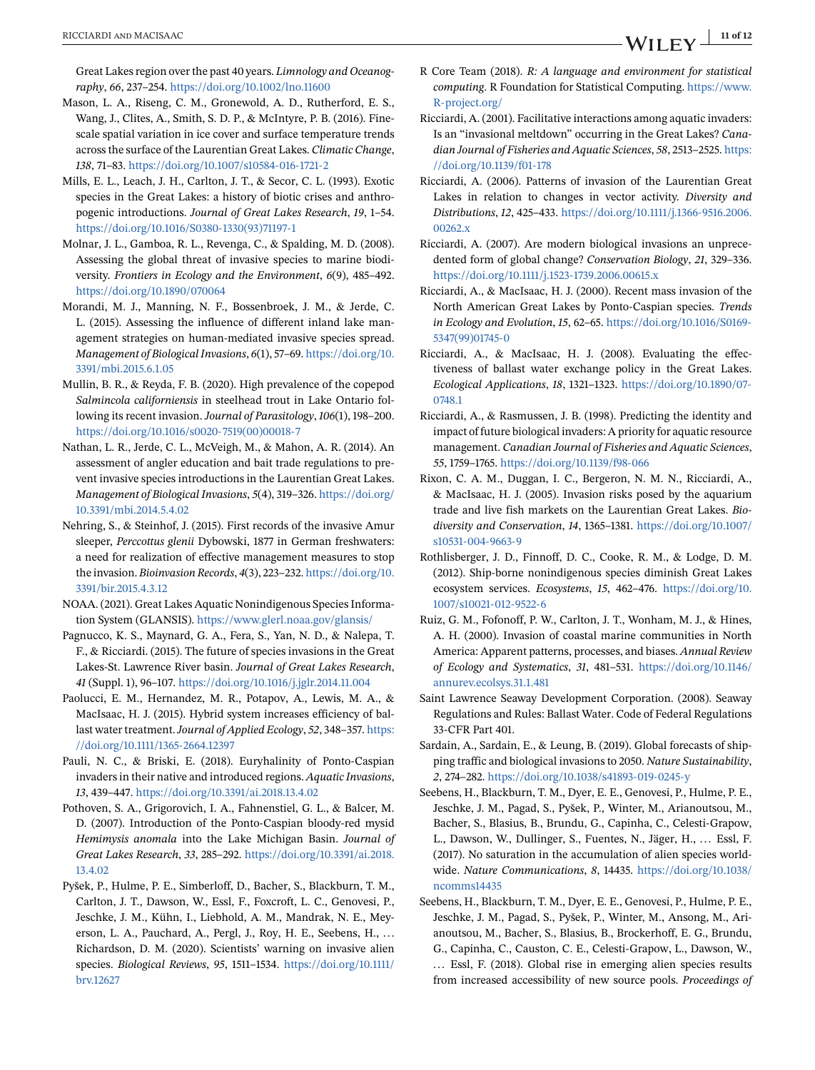<span id="page-10-0"></span>Great Lakes region over the past 40 years. *Limnology and Oceanography*, *66*, 237–254. <https://doi.org/10.1002/lno.11600>

- Mason, L. A., Riseng, C. M., Gronewold, A. D., Rutherford, E. S., Wang, J., Clites, A., Smith, S. D. P., & McIntyre, P. B. (2016). Finescale spatial variation in ice cover and surface temperature trends across the surface of the Laurentian Great Lakes. *Climatic Change*, *138*, 71–83. <https://doi.org/10.1007/s10584-016-1721-2>
- Mills, E. L., Leach, J. H., Carlton, J. T., & Secor, C. L. (1993). Exotic species in the Great Lakes: a history of biotic crises and anthropogenic introductions. *Journal of Great Lakes Research*, *19*, 1–54. [https://doi.org/10.1016/S0380-1330\(93\)71197-1](https://doi.org/10.1016/S0380-1330(93)71197-1)
- Molnar, J. L., Gamboa, R. L., Revenga, C., & Spalding, M. D. (2008). Assessing the global threat of invasive species to marine biodiversity. *Frontiers in Ecology and the Environment*, *6*(9), 485–492. <https://doi.org/10.1890/070064>
- Morandi, M. J., Manning, N. F., Bossenbroek, J. M., & Jerde, C. L. (2015). Assessing the influence of different inland lake management strategies on human-mediated invasive species spread. *Management of Biological Invasions*, *6*(1), 57–69. [https://doi.org/10.](https://doi.org/10.3391/mbi.2015.6.1.05) [3391/mbi.2015.6.1.05](https://doi.org/10.3391/mbi.2015.6.1.05)
- Mullin, B. R., & Reyda, F. B. (2020). High prevalence of the copepod *Salmincola californiensis* in steelhead trout in Lake Ontario following its recent invasion. *Journal of Parasitology*, *106*(1), 198–200. [https://doi.org/10.1016/s0020-7519\(00\)00018-7](https://doi.org/10.1016/s0020-7519(00)00018-7)
- Nathan, L. R., Jerde, C. L., McVeigh, M., & Mahon, A. R. (2014). An assessment of angler education and bait trade regulations to prevent invasive species introductions in the Laurentian Great Lakes. *Management of Biological Invasions*, *5*(4), 319–326. [https://doi.org/](https://doi.org/10.3391/mbi.2014.5.4.02) [10.3391/mbi.2014.5.4.02](https://doi.org/10.3391/mbi.2014.5.4.02)
- Nehring, S., & Steinhof, J. (2015). First records of the invasive Amur sleeper, *Perccottus glenii* Dybowski, 1877 in German freshwaters: a need for realization of effective management measures to stop the invasion. *Bioinvasion Records*, *4*(3), 223–232. [https://doi.org/10.](https://doi.org/10.3391/bir.2015.4.3.12) [3391/bir.2015.4.3.12](https://doi.org/10.3391/bir.2015.4.3.12)
- NOAA. (2021). Great Lakes Aquatic Nonindigenous Species Information System (GLANSIS). <https://www.glerl.noaa.gov/glansis/>
- Pagnucco, K. S., Maynard, G. A., Fera, S., Yan, N. D., & Nalepa, T. F., & Ricciardi. (2015). The future of species invasions in the Great Lakes-St. Lawrence River basin. *Journal of Great Lakes Research*, *41* (Suppl. 1), 96–107. <https://doi.org/10.1016/j.jglr.2014.11.004>
- Paolucci, E. M., Hernandez, M. R., Potapov, A., Lewis, M. A., & MacIsaac, H. J. (2015). Hybrid system increases efficiency of ballast water treatment.*Journal of Applied Ecology*, *52*, 348–357. [https:](https://doi.org/10.1111/1365-2664.12397) [//doi.org/10.1111/1365-2664.12397](https://doi.org/10.1111/1365-2664.12397)
- Pauli, N. C., & Briski, E. (2018). Euryhalinity of Ponto-Caspian invaders in their native and introduced regions. *Aquatic Invasions*, *13*, 439–447. <https://doi.org/10.3391/ai.2018.13.4.02>
- Pothoven, S. A., Grigorovich, I. A., Fahnenstiel, G. L., & Balcer, M. D. (2007). Introduction of the Ponto-Caspian bloody-red mysid *Hemimysis anomala* into the Lake Michigan Basin. *Journal of Great Lakes Research*, *33*, 285–292. [https://doi.org/10.3391/ai.2018.](https://doi.org/10.3391/ai.2018.13.4.02) [13.4.02](https://doi.org/10.3391/ai.2018.13.4.02)
- Pyšek, P., Hulme, P. E., Simberloff, D., Bacher, S., Blackburn, T. M., Carlton, J. T., Dawson, W., Essl, F., Foxcroft, L. C., Genovesi, P., Jeschke, J. M., Kühn, I., Liebhold, A. M., Mandrak, N. E., Meyerson, L. A., Pauchard, A., Pergl, J., Roy, H. E., Seebens, H., ... Richardson, D. M. (2020). Scientists' warning on invasive alien species. *Biological Reviews*, *95*, 1511–1534. [https://doi.org/10.1111/](https://doi.org/10.1111/brv.12627) [brv.12627](https://doi.org/10.1111/brv.12627)
- R Core Team (2018). *R: A language and environment for statistical computing*. R Foundation for Statistical Computing. [https://www.](https://www.R-project.org/) [R-project.org/](https://www.R-project.org/)
- Ricciardi, A. (2001). Facilitative interactions among aquatic invaders: Is an "invasional meltdown" occurring in the Great Lakes? *Canadian Journal of Fisheries and Aquatic Sciences*, *58*, 2513–2525. [https:](https://doi.org/10.1139/f01-178) [//doi.org/10.1139/f01-178](https://doi.org/10.1139/f01-178)
- Ricciardi, A. (2006). Patterns of invasion of the Laurentian Great Lakes in relation to changes in vector activity. *Diversity and Distributions*, *12*, 425–433. [https://doi.org/10.1111/j.1366-9516.2006.](https://doi.org/10.1111/j.1366-9516.2006.00262.x) [00262.x](https://doi.org/10.1111/j.1366-9516.2006.00262.x)
- Ricciardi, A. (2007). Are modern biological invasions an unprecedented form of global change? *Conservation Biology*, *21*, 329–336. <https://doi.org/10.1111/j.1523-1739.2006.00615.x>
- Ricciardi, A., & MacIsaac, H. J. (2000). Recent mass invasion of the North American Great Lakes by Ponto-Caspian species. *Trends in Ecology and Evolution*, *15*, 62–65. [https://doi.org/10.1016/S0169-](https://doi.org/10.1016/S0169-5347(99)01745-0) [5347\(99\)01745-0](https://doi.org/10.1016/S0169-5347(99)01745-0)
- Ricciardi, A., & MacIsaac, H. J. (2008). Evaluating the effectiveness of ballast water exchange policy in the Great Lakes. *Ecological Applications*, *18*, 1321–1323. [https://doi.org/10.1890/07-](https://doi.org/10.1890/07-0748.1) [0748.1](https://doi.org/10.1890/07-0748.1)
- Ricciardi, A., & Rasmussen, J. B. (1998). Predicting the identity and impact of future biological invaders: A priority for aquatic resource management. *Canadian Journal of Fisheries and Aquatic Sciences*, *55*, 1759–1765. <https://doi.org/10.1139/f98-066>
- Rixon, C. A. M., Duggan, I. C., Bergeron, N. M. N., Ricciardi, A., & MacIsaac, H. J. (2005). Invasion risks posed by the aquarium trade and live fish markets on the Laurentian Great Lakes. *Biodiversity and Conservation*, *14*, 1365–1381. [https://doi.org/10.1007/](https://doi.org/10.1007/s10531-004-9663-9) [s10531-004-9663-9](https://doi.org/10.1007/s10531-004-9663-9)
- Rothlisberger, J. D., Finnoff, D. C., Cooke, R. M., & Lodge, D. M. (2012). Ship-borne nonindigenous species diminish Great Lakes ecosystem services. *Ecosystems*, *15*, 462–476. [https://doi.org/10.](https://doi.org/10.1007/s10021-012-9522-6) [1007/s10021-012-9522-6](https://doi.org/10.1007/s10021-012-9522-6)
- Ruiz, G. M., Fofonoff, P. W., Carlton, J. T., Wonham, M. J., & Hines, A. H. (2000). Invasion of coastal marine communities in North America: Apparent patterns, processes, and biases. *Annual Review of Ecology and Systematics*, *31*, 481–531. [https://doi.org/10.1146/](https://doi.org/10.1146/annurev.ecolsys.31.1.481) [annurev.ecolsys.31.1.481](https://doi.org/10.1146/annurev.ecolsys.31.1.481)
- Saint Lawrence Seaway Development Corporation. (2008). Seaway Regulations and Rules: Ballast Water. Code of Federal Regulations 33-CFR Part 401.
- Sardain, A., Sardain, E., & Leung, B. (2019). Global forecasts of shipping traffic and biological invasions to 2050. *Nature Sustainability*, *2*, 274–282. <https://doi.org/10.1038/s41893-019-0245-y>
- Seebens, H., Blackburn, T. M., Dyer, E. E., Genovesi, P., Hulme, P. E., Jeschke, J. M., Pagad, S., Pyšek, P., Winter, M., Arianoutsou, M., Bacher, S., Blasius, B., Brundu, G., Capinha, C., Celesti-Grapow, L., Dawson, W., Dullinger, S., Fuentes, N., Jäger, H., ... Essl, F. (2017). No saturation in the accumulation of alien species worldwide. *Nature Communications*, *8*, 14435. [https://doi.org/10.1038/](https://doi.org/10.1038/ncomms14435) [ncomms14435](https://doi.org/10.1038/ncomms14435)
- Seebens, H., Blackburn, T. M., Dyer, E. E., Genovesi, P., Hulme, P. E., Jeschke, J. M., Pagad, S., Pyšek, P., Winter, M., Ansong, M., Arianoutsou, M., Bacher, S., Blasius, B., Brockerhoff, E. G., Brundu, G., Capinha, C., Causton, C. E., Celesti-Grapow, L., Dawson, W., ... Essl, F. (2018). Global rise in emerging alien species results from increased accessibility of new source pools. *Proceedings of*